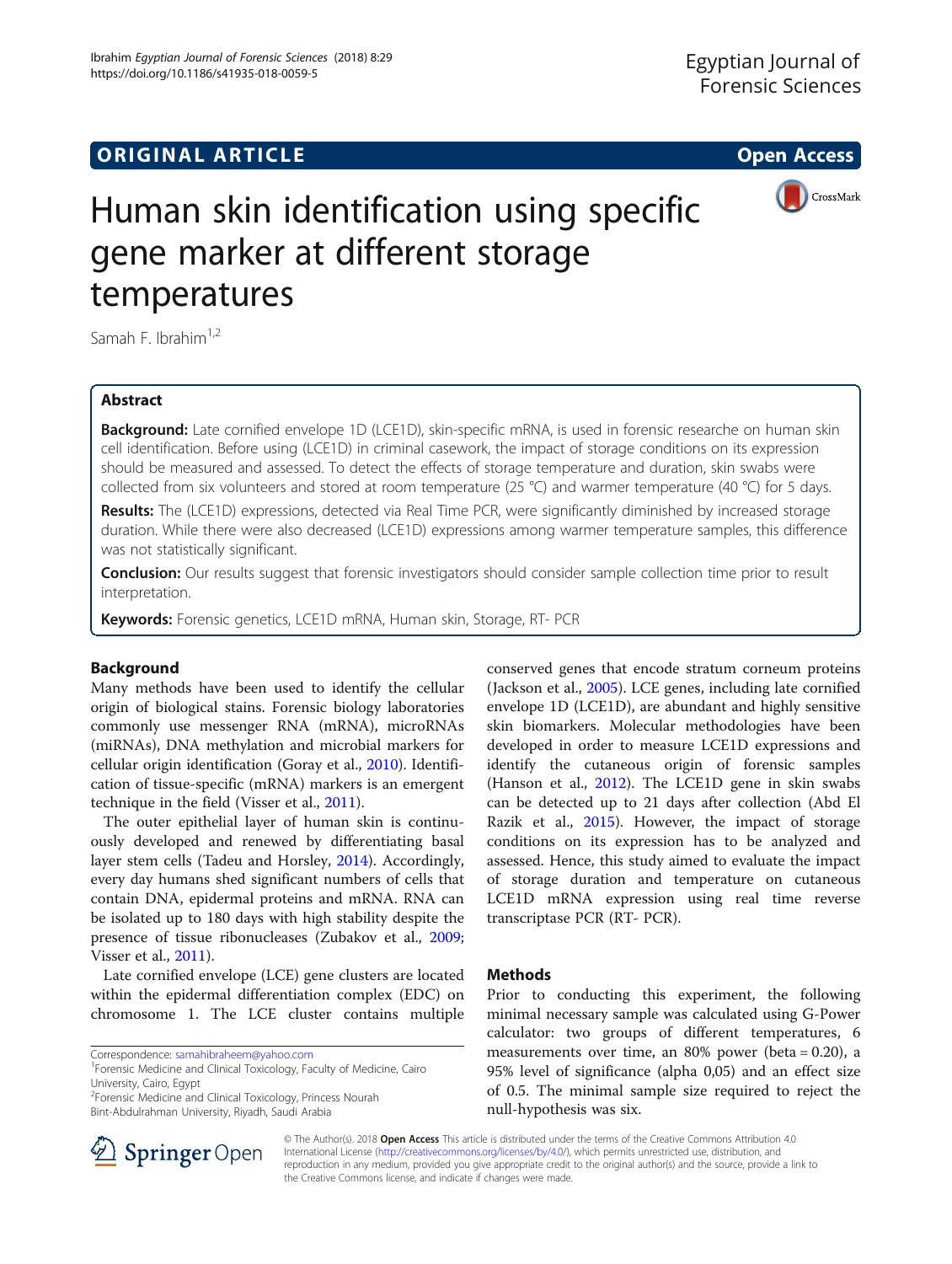https://doi.org/10.1186/s41935-018-0059-5

Ibrahim Egyptian Journal of Forensic Sciences (2018) 8:29



# Human skin identification using specific gene marker at different storage temperatures

Samah F. Ibrahim $1,2$ 

# Abstract

**Background:** Late cornified envelope 1D (LCE1D), skin-specific mRNA, is used in forensic researche on human skin cell identification. Before using (LCE1D) in criminal casework, the impact of storage conditions on its expression should be measured and assessed. To detect the effects of storage temperature and duration, skin swabs were collected from six volunteers and stored at room temperature (25 °C) and warmer temperature (40 °C) for 5 days.

Results: The (LCE1D) expressions, detected via Real Time PCR, were significantly diminished by increased storage duration. While there were also decreased (LCE1D) expressions among warmer temperature samples, this difference was not statistically significant.

Conclusion: Our results suggest that forensic investigators should consider sample collection time prior to result interpretation.

Keywords: Forensic genetics, LCE1D mRNA, Human skin, Storage, RT- PCR

# Background

Many methods have been used to identify the cellular origin of biological stains. Forensic biology laboratories commonly use messenger RNA (mRNA), microRNAs (miRNAs), DNA methylation and microbial markers for cellular origin identification (Goray et al., [2010](#page-3-0)). Identification of tissue-specific (mRNA) markers is an emergent technique in the field (Visser et al., [2011\)](#page-4-0).

The outer epithelial layer of human skin is continuously developed and renewed by differentiating basal layer stem cells (Tadeu and Horsley, [2014](#page-4-0)). Accordingly, every day humans shed significant numbers of cells that contain DNA, epidermal proteins and mRNA. RNA can be isolated up to 180 days with high stability despite the presence of tissue ribonucleases (Zubakov et al., [2009](#page-4-0); Visser et al., [2011\)](#page-4-0).

Late cornified envelope (LCE) gene clusters are located within the epidermal differentiation complex (EDC) on chromosome 1. The LCE cluster contains multiple

<sup>2</sup>Forensic Medicine and Clinical Toxicology, Princess Nourah Bint-Abdulrahman University, Riyadh, Saudi Arabia

conserved genes that encode stratum corneum proteins (Jackson et al., [2005\)](#page-4-0). LCE genes, including late cornified envelope 1D (LCE1D), are abundant and highly sensitive skin biomarkers. Molecular methodologies have been developed in order to measure LCE1D expressions and identify the cutaneous origin of forensic samples (Hanson et al., [2012\)](#page-3-0). The LCE1D gene in skin swabs can be detected up to 21 days after collection (Abd El Razik et al., [2015\)](#page-3-0). However, the impact of storage conditions on its expression has to be analyzed and assessed. Hence, this study aimed to evaluate the impact of storage duration and temperature on cutaneous LCE1D mRNA expression using real time reverse transcriptase PCR (RT- PCR).

# **Methods**

Prior to conducting this experiment, the following minimal necessary sample was calculated using G-Power calculator: two groups of different temperatures, 6 measurements over time, an  $80\%$  power (beta = 0.20), a 95% level of significance (alpha 0,05) and an effect size of 0.5. The minimal sample size required to reject the null-hypothesis was six.



© The Author(s). 2018 Open Access This article is distributed under the terms of the Creative Commons Attribution 4.0 International License ([http://creativecommons.org/licenses/by/4.0/\)](http://creativecommons.org/licenses/by/4.0/), which permits unrestricted use, distribution, and reproduction in any medium, provided you give appropriate credit to the original author(s) and the source, provide a link to the Creative Commons license, and indicate if changes were made.

Correspondence: [samahibraheem@yahoo.com](mailto:samahibraheem@yahoo.com) <sup>1</sup>

<sup>&</sup>lt;sup>1</sup> Forensic Medicine and Clinical Toxicology, Faculty of Medicine, Cairo University, Cairo, Egypt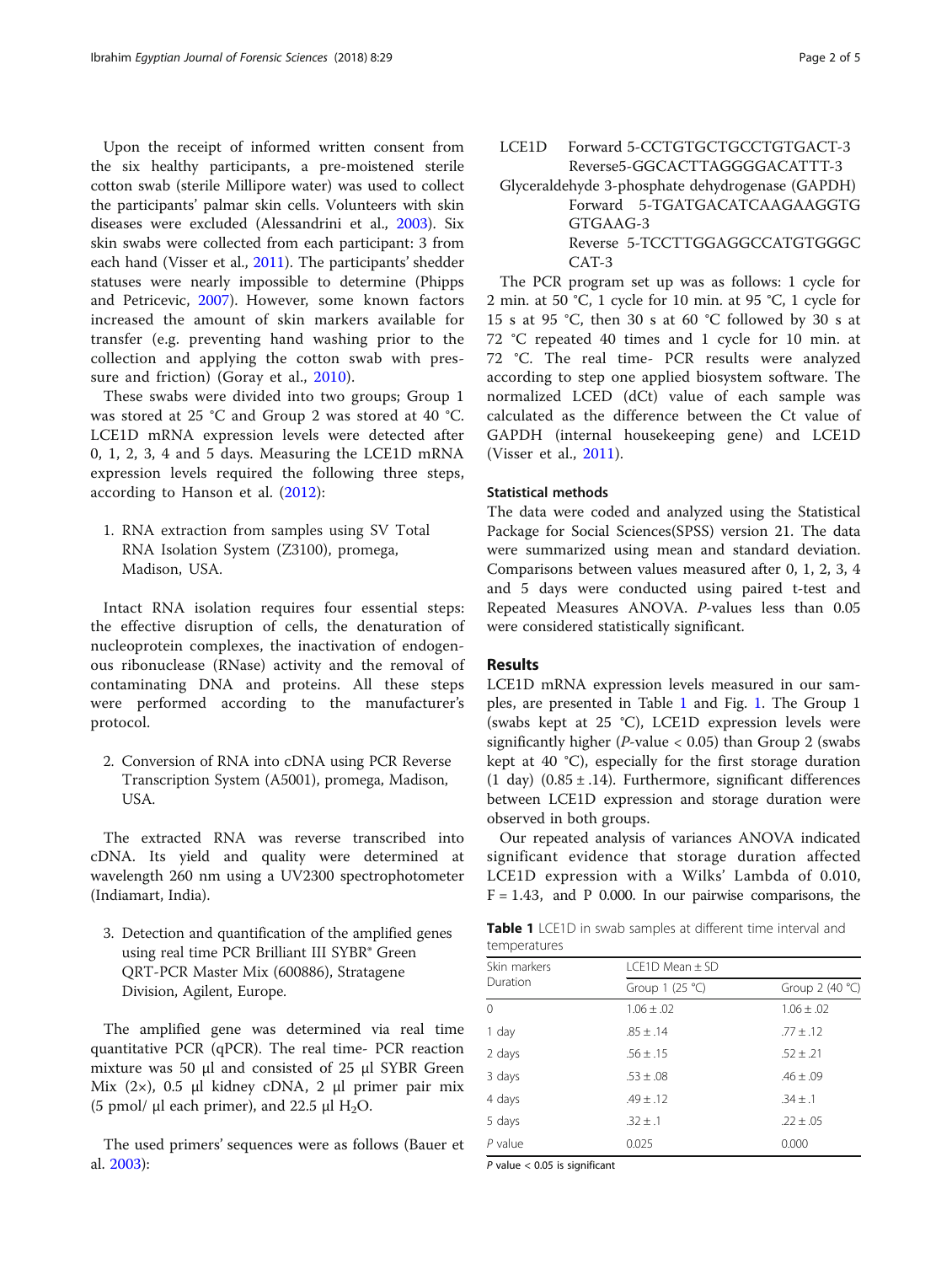Upon the receipt of informed written consent from the six healthy participants, a pre-moistened sterile cotton swab (sterile Millipore water) was used to collect the participants' palmar skin cells. Volunteers with skin diseases were excluded (Alessandrini et al., [2003\)](#page-3-0). Six skin swabs were collected from each participant: 3 from each hand (Visser et al., [2011](#page-4-0)). The participants' shedder statuses were nearly impossible to determine (Phipps and Petricevic, [2007\)](#page-4-0). However, some known factors increased the amount of skin markers available for transfer (e.g. preventing hand washing prior to the collection and applying the cotton swab with pressure and friction) (Goray et al., [2010\)](#page-3-0).

These swabs were divided into two groups; Group 1 was stored at 25 °C and Group 2 was stored at 40 °C. LCE1D mRNA expression levels were detected after 0, 1, 2, 3, 4 and 5 days. Measuring the LCE1D mRNA expression levels required the following three steps, according to Hanson et al. ([2012](#page-3-0)):

1. RNA extraction from samples using SV Total RNA Isolation System (Z3100), promega, Madison, USA.

Intact RNA isolation requires four essential steps: the effective disruption of cells, the denaturation of nucleoprotein complexes, the inactivation of endogenous ribonuclease (RNase) activity and the removal of contaminating DNA and proteins. All these steps were performed according to the manufacturer's protocol.

2. Conversion of RNA into cDNA using PCR Reverse Transcription System (A5001), promega, Madison, USA.

The extracted RNA was reverse transcribed into cDNA. Its yield and quality were determined at wavelength 260 nm using a UV2300 spectrophotometer (Indiamart, India).

3. Detection and quantification of the amplified genes using real time PCR Brilliant III SYBR® Green QRT-PCR Master Mix (600886), Stratagene Division, Agilent, Europe.

The amplified gene was determined via real time quantitative PCR (qPCR). The real time- PCR reaction mixture was 50 μl and consisted of 25 μl SYBR Green Mix (2×), 0.5 μl kidney cDNA, 2 μl primer pair mix (5 pmol/  $\mu$ l each primer), and 22.5  $\mu$ l H<sub>2</sub>O.

The used primers' sequences were as follows (Bauer et al. [2003](#page-3-0)):

LCE1D Forward 5-CCTGTGCTGCCTGTGACT-3 Reverse5-GGCACTTAGGGGACATTT-3

Glyceraldehyde 3-phosphate dehydrogenase (GAPDH) Forward 5-TGATGACATCAAGAAGGTG GTGAAG-3 Reverse 5-TCCTTGGAGGCCATGTGGGC CAT-3

The PCR program set up was as follows: 1 cycle for 2 min. at 50 °C, 1 cycle for 10 min. at 95 °C, 1 cycle for 15 s at 95 °C, then 30 s at 60 °C followed by 30 s at 72 °C repeated 40 times and 1 cycle for 10 min. at 72 °C. The real time- PCR results were analyzed according to step one applied biosystem software. The normalized LCED (dCt) value of each sample was calculated as the difference between the Ct value of GAPDH (internal housekeeping gene) and LCE1D (Visser et al., [2011\)](#page-4-0).

# Statistical methods

The data were coded and analyzed using the Statistical Package for Social Sciences(SPSS) version 21. The data were summarized using mean and standard deviation. Comparisons between values measured after 0, 1, 2, 3, 4 and 5 days were conducted using paired t-test and Repeated Measures ANOVA. P-values less than 0.05 were considered statistically significant.

# Results

LCE1D mRNA expression levels measured in our samples, are presented in Table 1 and Fig. [1.](#page-2-0) The Group 1 (swabs kept at 25 °C), LCE1D expression levels were significantly higher ( $P$ -value < 0.05) than Group 2 (swabs kept at 40 °C), especially for the first storage duration (1 day)  $(0.85 \pm .14)$ . Furthermore, significant differences between LCE1D expression and storage duration were observed in both groups.

Our repeated analysis of variances ANOVA indicated significant evidence that storage duration affected LCE1D expression with a Wilks' Lambda of 0.010,  $F = 1.43$ , and P 0.000. In our pairwise comparisons, the

Table 1 LCE1D in swab samples at different time interval and temperatures

| Skin markers | $LCE1D Mean \pm SD$ |                  |  |  |  |  |
|--------------|---------------------|------------------|--|--|--|--|
| Duration     | Group 1 $(25 °C)$   | Group $2(40 °C)$ |  |  |  |  |
| $\Omega$     | $1.06 \pm .02$      | $1.06 \pm .02$   |  |  |  |  |
| 1 day        | $.85 \pm .14$       | $.77 \pm .12$    |  |  |  |  |
| 2 days       | $.56 \pm .15$       | $.52 \pm .21$    |  |  |  |  |
| 3 days       | $.53 \pm .08$       | $.46 \pm .09$    |  |  |  |  |
| 4 days       | $.49 \pm .12$       | $.34 \pm .1$     |  |  |  |  |
| 5 days       | $.32 \pm .1$        | $.22 \pm .05$    |  |  |  |  |
| $P$ value    | 0.025               | 0.000            |  |  |  |  |

 $P$  value  $<$  0.05 is significant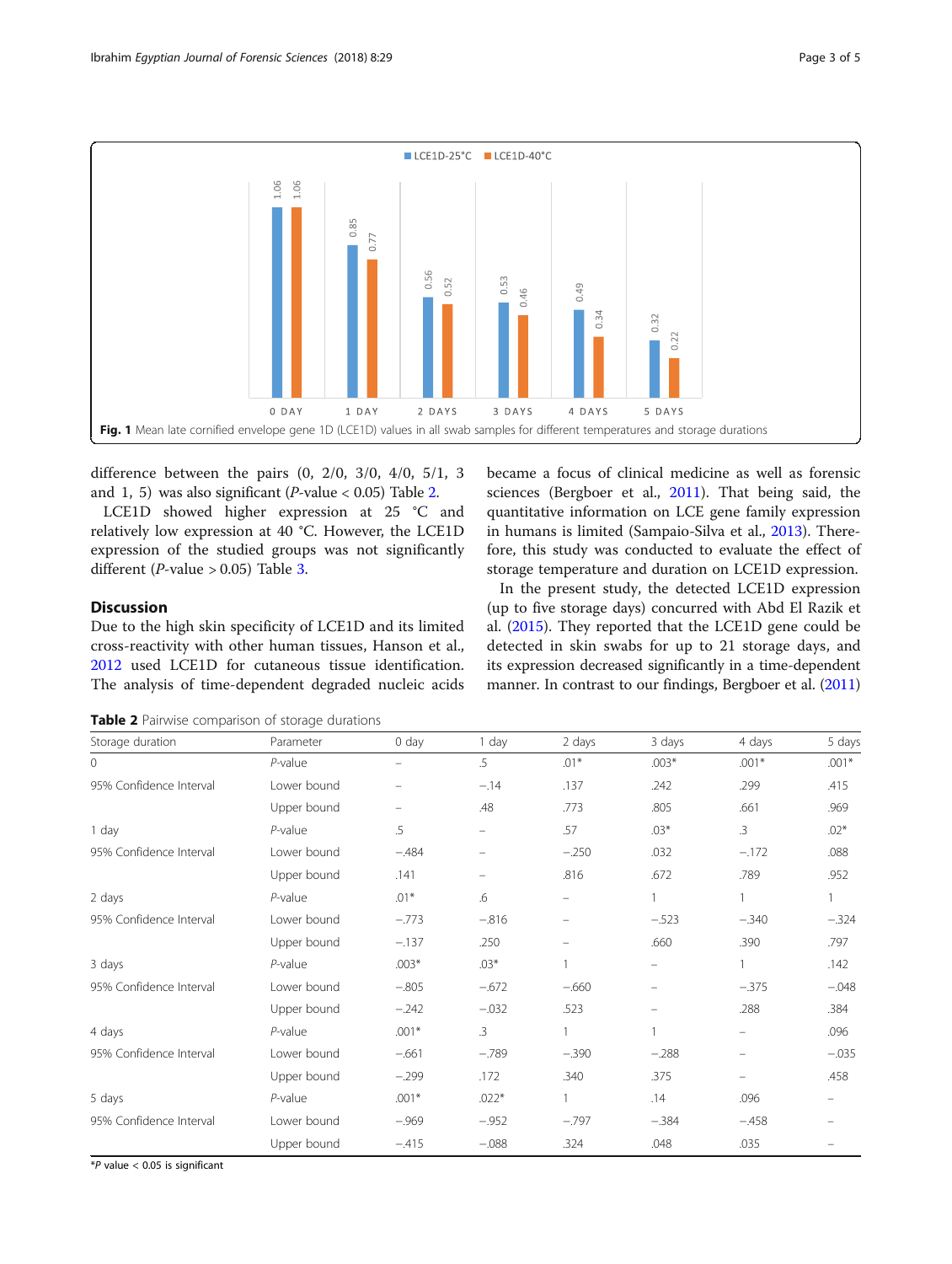<span id="page-2-0"></span>

difference between the pairs (0, 2/0, 3/0, 4/0, 5/1, 3 and 1, 5) was also significant (*P*-value < 0.05) Table 2.

LCE1D showed higher expression at 25 °C and relatively low expression at 40 °C. However, the LCE1D expression of the studied groups was not significantly different (*P*-value  $> 0.05$ ) Table [3.](#page-3-0)

became a focus of clinical medicine as well as forensic sciences (Bergboer et al., [2011\)](#page-3-0). That being said, the quantitative information on LCE gene family expression in humans is limited (Sampaio-Silva et al., [2013](#page-4-0)). Therefore, this study was conducted to evaluate the effect of storage temperature and duration on LCE1D expression.

# **Discussion**

Due to the high skin specificity of LCE1D and its limited cross-reactivity with other human tissues, Hanson et al., [2012](#page-3-0) used LCE1D for cutaneous tissue identification. The analysis of time-dependent degraded nucleic acids

In the present study, the detected LCE1D expression (up to five storage days) concurred with Abd El Razik et al. [\(2015](#page-3-0)). They reported that the LCE1D gene could be detected in skin swabs for up to 21 storage days, and its expression decreased significantly in a time-dependent manner. In contrast to our findings, Bergboer et al. [\(2011](#page-3-0))

Table 2 Pairwise comparison of storage durations

| Storage duration        | Parameter   | $0$ day | 1 day     | 2 days            | 3 days  | 4 days                   | 5 days       |
|-------------------------|-------------|---------|-----------|-------------------|---------|--------------------------|--------------|
| 0                       | $P$ -value  |         | .5        | $.01*$            | $.003*$ | $.001*$                  | $.001*$      |
| 95% Confidence Interval | Lower bound |         | $-.14$    | .137              | .242    | .299                     | .415         |
|                         | Upper bound |         | .48       | .773              | .805    | .661                     | .969         |
| 1 day                   | $P$ -value  | .5      |           | .57               | $.03*$  | $.3\phantom{0}$          | $.02*$       |
| 95% Confidence Interval | Lower bound | $-.484$ |           | $-.250$           | .032    | $-.172$                  | .088         |
|                         | Upper bound | .141    |           | .816              | .672    | .789                     | .952         |
| 2 days                  | $P$ -value  | $.01*$  | .6        | -                 |         | 1                        | $\mathbf{1}$ |
| 95% Confidence Interval | Lower bound | $-.773$ | $-.816$   | $\qquad \qquad -$ | $-.523$ | $-.340$                  | $-.324$      |
|                         | Upper bound | $-.137$ | .250      |                   | .660    | .390                     | .797         |
| 3 days                  | $P$ -value  | $.003*$ | $.03*$    |                   |         |                          | .142         |
| 95% Confidence Interval | Lower bound | $-.805$ | $-.672$   | $-.660$           |         | $-.375$                  | $-.048$      |
|                         | Upper bound | $-.242$ | $-.032$   | .523              |         | .288                     | .384         |
| 4 days                  | $P$ -value  | $.001*$ | $\cdot$ 3 |                   |         | -                        | .096         |
| 95% Confidence Interval | Lower bound | $-.661$ | $-.789$   | $-.390$           | $-.288$ | $\overline{\phantom{0}}$ | $-.035$      |
|                         | Upper bound | $-.299$ | .172      | .340              | .375    | $\overline{\phantom{0}}$ | .458         |
| 5 days                  | $P$ -value  | $.001*$ | $.022*$   | $\mathbf{1}$      | .14     | .096                     |              |
| 95% Confidence Interval | Lower bound | $-.969$ | $-.952$   | $-.797$           | $-.384$ | $-.458$                  |              |
|                         | Upper bound | $-415$  | $-.088$   | .324              | .048    | .035                     |              |

 $*P$  value < 0.05 is significant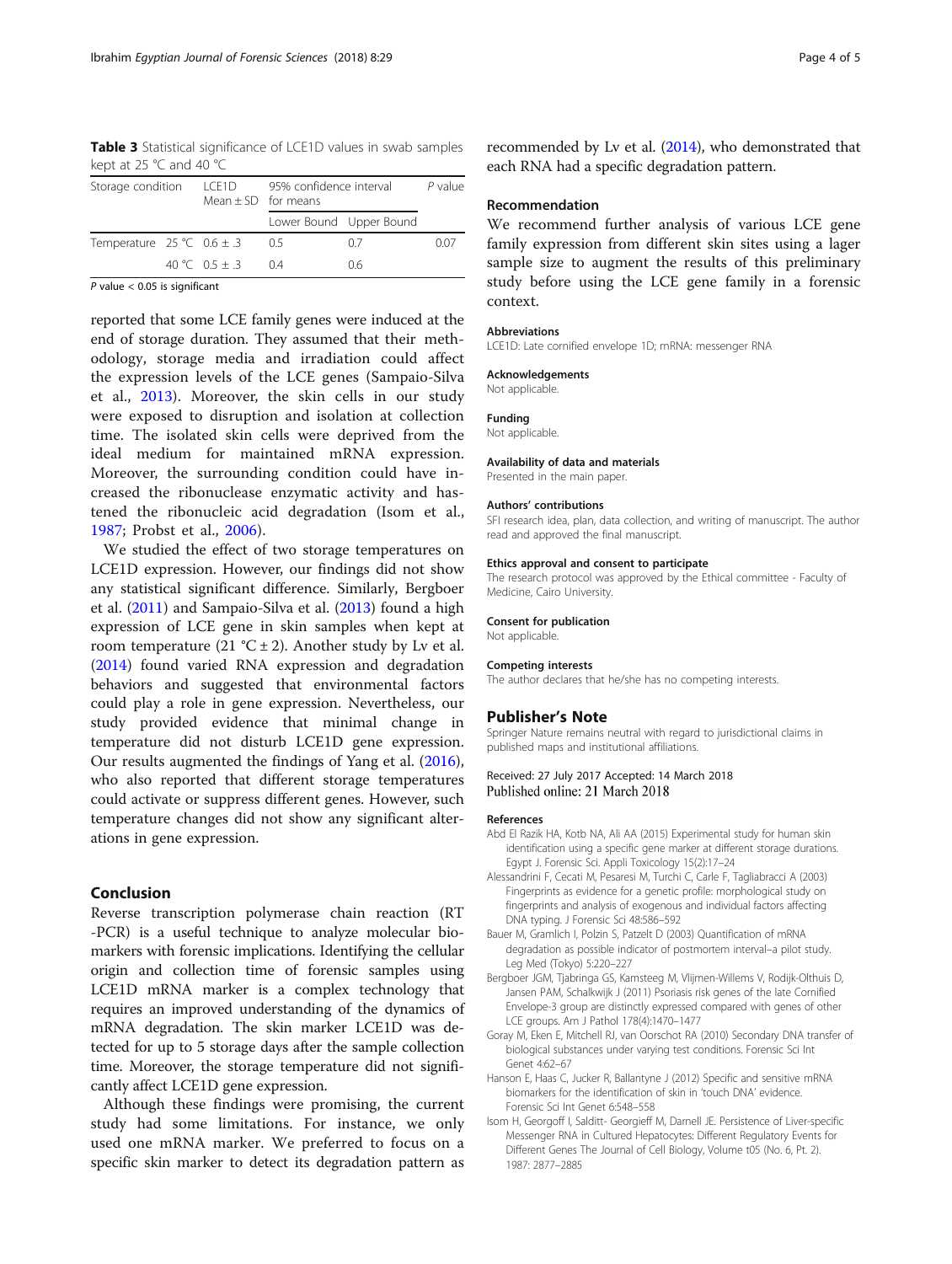<span id="page-3-0"></span>Table 3 Statistical significance of LCE1D values in swab samples kept at 25 °C and 40 °C

| Storage condition |  |                                                            | $P$ value             |                                                    |  |
|-------------------|--|------------------------------------------------------------|-----------------------|----------------------------------------------------|--|
|                   |  |                                                            |                       |                                                    |  |
|                   |  | 05                                                         | 07                    | 0.07                                               |  |
|                   |  | 04                                                         | 06                    |                                                    |  |
|                   |  | LCE1D<br>Temperature $25 °C$ 0.6 $\pm$ .3<br>40 °C 0.5 + 3 | $Mean + SD$ for means | 95% confidence interval<br>Lower Bound Upper Bound |  |

 $P$  value  $<$  0.05 is significant

reported that some LCE family genes were induced at the end of storage duration. They assumed that their methodology, storage media and irradiation could affect the expression levels of the LCE genes (Sampaio-Silva et al., [2013\)](#page-4-0). Moreover, the skin cells in our study were exposed to disruption and isolation at collection time. The isolated skin cells were deprived from the ideal medium for maintained mRNA expression. Moreover, the surrounding condition could have increased the ribonuclease enzymatic activity and hastened the ribonucleic acid degradation (Isom et al., 1987; Probst et al., [2006\)](#page-4-0).

We studied the effect of two storage temperatures on LCE1D expression. However, our findings did not show any statistical significant difference. Similarly, Bergboer et al. (2011) and Sampaio-Silva et al. [\(2013](#page-4-0)) found a high expression of LCE gene in skin samples when kept at room temperature (21 °C  $\pm$  2). Another study by Lv et al. ([2014](#page-4-0)) found varied RNA expression and degradation behaviors and suggested that environmental factors could play a role in gene expression. Nevertheless, our study provided evidence that minimal change in temperature did not disturb LCE1D gene expression. Our results augmented the findings of Yang et al. ([2016](#page-4-0)), who also reported that different storage temperatures could activate or suppress different genes. However, such temperature changes did not show any significant alterations in gene expression.

# Conclusion

Reverse transcription polymerase chain reaction (RT -PCR) is a useful technique to analyze molecular biomarkers with forensic implications. Identifying the cellular origin and collection time of forensic samples using LCE1D mRNA marker is a complex technology that requires an improved understanding of the dynamics of mRNA degradation. The skin marker LCE1D was detected for up to 5 storage days after the sample collection time. Moreover, the storage temperature did not significantly affect LCE1D gene expression.

Although these findings were promising, the current study had some limitations. For instance, we only used one mRNA marker. We preferred to focus on a specific skin marker to detect its degradation pattern as recommended by Lv et al. ([2014\)](#page-4-0), who demonstrated that each RNA had a specific degradation pattern.

## Recommendation

We recommend further analysis of various LCE gene family expression from different skin sites using a lager sample size to augment the results of this preliminary study before using the LCE gene family in a forensic context.

## Abbreviations

LCE1D: Late cornified envelope 1D; mRNA: messenger RNA

### Acknowledgements

Not applicable.

Funding Not applicable.

### Availability of data and materials

Presented in the main paper.

### Authors' contributions

SFI research idea, plan, data collection, and writing of manuscript. The author read and approved the final manuscript.

### Ethics approval and consent to participate

The research protocol was approved by the Ethical committee - Faculty of Medicine, Cairo University.

### Consent for publication

Not applicable.

# Competing interests

The author declares that he/she has no competing interests.

# Publisher's Note

Springer Nature remains neutral with regard to jurisdictional claims in published maps and institutional affiliations.

# Received: 27 July 2017 Accepted: 14 March 2018 Published online: 21 March 2018

### References

- Abd El Razik HA, Kotb NA, Ali AA (2015) Experimental study for human skin identification using a specific gene marker at different storage durations. Egypt J. Forensic Sci. Appli Toxicology 15(2):17–24
- Alessandrini F, Cecati M, Pesaresi M, Turchi C, Carle F, Tagliabracci A (2003) Fingerprints as evidence for a genetic profile: morphological study on fingerprints and analysis of exogenous and individual factors affecting DNA typing. J Forensic Sci 48:586–592
- Bauer M, Gramlich I, Polzin S, Patzelt D (2003) Quantification of mRNA degradation as possible indicator of postmortem interval–a pilot study. Leg Med (Tokyo) 5:220–227
- Bergboer JGM, Tjabringa GS, Kamsteeg M, Vlijmen-Willems V, Rodijk-Olthuis D, Jansen PAM, Schalkwijk J (2011) Psoriasis risk genes of the late Cornified Envelope-3 group are distinctly expressed compared with genes of other LCE groups. Am J Pathol 178(4):1470–1477
- Goray M, Eken E, Mitchell RJ, van Oorschot RA (2010) Secondary DNA transfer of biological substances under varying test conditions. Forensic Sci Int Genet 4:62–67
- Hanson E, Haas C, Jucker R, Ballantyne J (2012) Specific and sensitive mRNA biomarkers for the identification of skin in 'touch DNA' evidence. Forensic Sci Int Genet 6:548–558
- Isom H, Georgoff I, Salditt- Georgieff M, Darnell JE. Persistence of Liver-specific Messenger RNA in Cultured Hepatocytes: Different Regulatory Events for Different Genes The Journal of Cell Biology, Volume t05 (No. 6, Pt. 2). 1987: 2877–2885